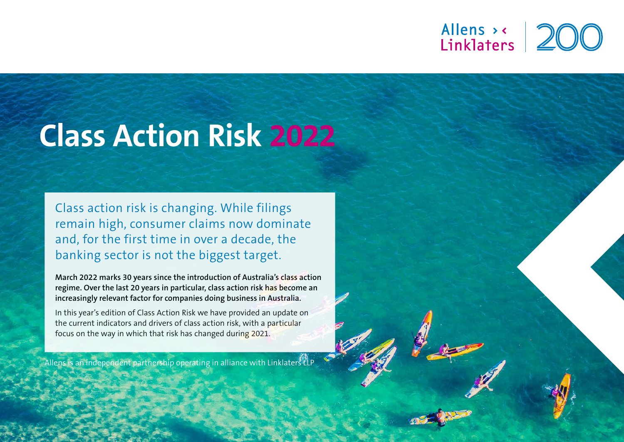# Allens > <<br>Linklaters

# **Class Action Risk 2022**

Class action risk is changing. While filings remain high, consumer claims now dominate and, for the first time in over a decade, the banking sector is not the biggest target.

**March 2022 marks 30 years since the introduction of Australia's class action regime. Over the last 20 years in particular, class action risk has become an increasingly relevant factor for companies doing business in Australia.**

In this year's edition of Class Action Risk we have provided an update on the current indicators and drivers of class action risk, with a particular focus on the way in which that risk has changed during 2021.

Allens is an independent partnership operating in alliance with Linklaters LLP

1 **allens.com.au**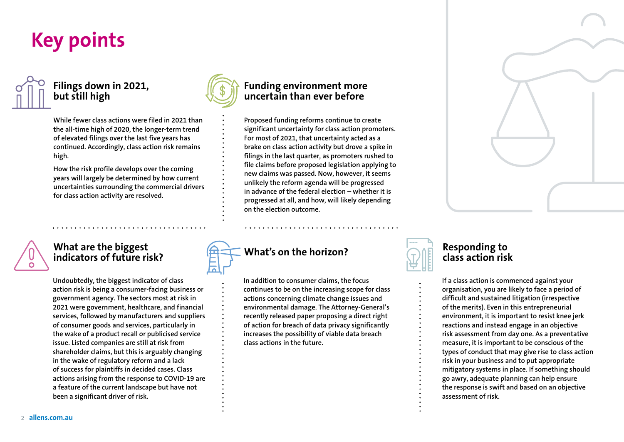# **Key points**



### **Filings down in 2021, but still high**

**While fewer class actions were filed in 2021 than the all-time high of 2020, the longer-term trend of elevated filings over the last five years has continued. Accordingly, class action risk remains high.**

**How the risk profile develops over the coming years will largely be determined by how current uncertainties surrounding the commercial drivers for class action activity are resolved.**

**Undoubtedly, the biggest indicator of class action risk is being a consumer-facing business or government agency. The sectors most at risk in 2021 were government, healthcare, and financial services, followed by manufacturers and suppliers of consumer goods and services, particularly in the wake of a product recall or publicised service issue. Listed companies are still at risk from shareholder claims, but this is arguably changing in the wake of regulatory reform and a lack of success for plaintiffs in decided cases. Class actions arising from the response to COVID-19 are a feature of the current landscape but have not** 

**What are the biggest indicators of future risk?** 

**been a significant driver of risk.** 



### **Funding environment more uncertain than ever before**

**Proposed funding reforms continue to create significant uncertainty for class action promoters. For most of 2021, that uncertainty acted as a brake on class action activity but drove a spike in filings in the last quarter, as promoters rushed to file claims before proposed legislation applying to new claims was passed. Now, however, it seems unlikely the reform agenda will be progressed in advance of the federal election – whether it is progressed at all, and how, will likely depending on the election outcome.**

### **What's on the horizon?**

**In addition to consumer claims, the focus continues to be on the increasing scope for class actions concerning climate change issues and environmental damage. The Attorney-General's recently released paper proposing a direct right of action for breach of data privacy significantly increases the possibility of viable data breach class actions in the future.** 



#### **Responding to class action risk**

**If a class action is commenced against your organisation, you are likely to face a period of difficult and sustained litigation (irrespective of the merits). Even in this entrepreneurial environment, it is important to resist knee jerk reactions and instead engage in an objective risk assessment from day one. As a preventative measure, it is important to be conscious of the types of conduct that may give rise to class action risk in your business and to put appropriate mitigatory systems in place. If something should go awry, adequate planning can help ensure the response is swift and based on an objective assessment of risk.** 

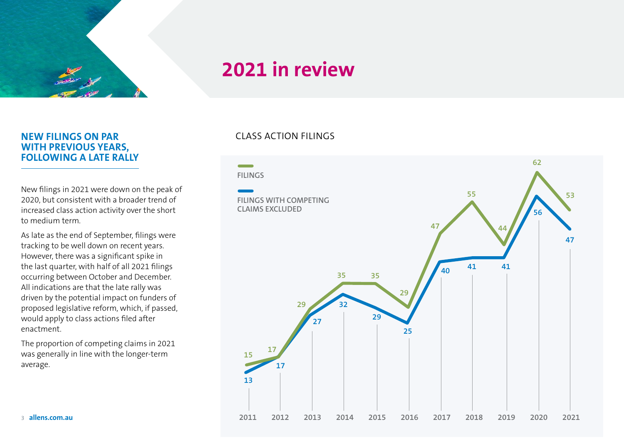

#### **NEW FILINGS ON PAR WITH PREVIOUS YEARS, FOLLOWING A LATE RALLY**

New filings in 2021 were down on the peak of 2020, but consistent with a broader trend of increased class action activity over the short to medium term.

As late as the end of September, filings were tracking to be well down on recent years. However, there was a significant spike in the last quarter, with half of all 2021 filings occurring between October and December. All indications are that the late rally was driven by the potential impact on funders of proposed legislative reform, which, if passed, would apply to class actions filed after enactment.

The proportion of competing claims in 2021 was generally in line with the longer-term average.

#### CLASS ACTION FILINGS

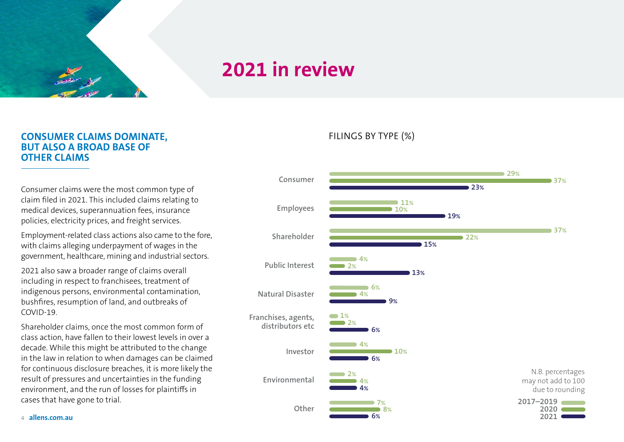

#### **CONSUMER CLAIMS DOMINATE, BUT ALSO A BROAD BASE OF OTHER CLAIMS**

Consumer claims were the most common type of claim filed in 2021. This included claims relating to medical devices, superannuation fees, insurance policies, electricity prices, and freight services.

Employment-related class actions also came to the fore, with claims alleging underpayment of wages in the government, healthcare, mining and industrial sectors.

2021 also saw a broader range of claims overall including in respect to franchisees, treatment of indigenous persons, environmental contamination, bushfires, resumption of land, and outbreaks of COVID-19.

Shareholder claims, once the most common form of class action, have fallen to their lowest levels in over a decade. While this might be attributed to the change in the law in relation to when damages can be claimed for continuous disclosure breaches, it is more likely the result of pressures and uncertainties in the funding environment, and the run of losses for plaintiffs in cases that have gone to trial.

FILINGS BY TYPE (%)

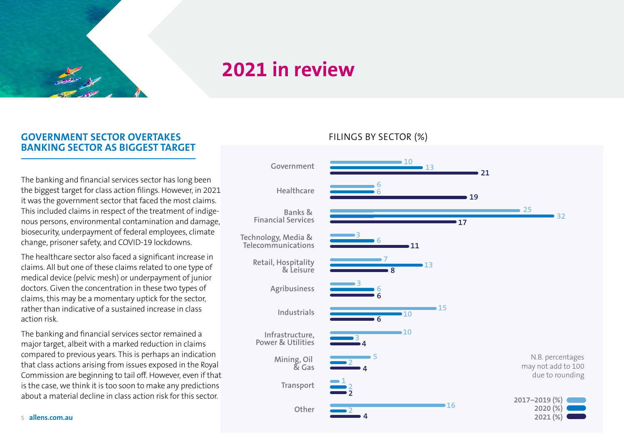

#### **GOVERNMENT SECTOR OVERTAKES BANKING SECTOR AS BIGGEST TARGET**

The banking and financial services sector has long been the biggest target for class action filings. However, in 2021 it was the government sector that faced the most claims. This included claims in respect of the treatment of indigenous persons, environmental contamination and damage, biosecurity, underpayment of federal employees, climate change, prisoner safety, and COVID-19 lockdowns.

The healthcare sector also faced a significant increase in claims. All but one of these claims related to one type of medical device (pelvic mesh) or underpayment of junior doctors. Given the concentration in these two types of claims, this may be a momentary uptick for the sector, rather than indicative of a sustained increase in class action risk.

The banking and financial services sector remained a major target, albeit with a marked reduction in claims compared to previous years. This is perhaps an indication that class actions arising from issues exposed in the Royal Commission are beginning to tail off. However, even if that is the case, we think it is too soon to make any predictions about a material decline in class action risk for this sector.

#### FILINGS BY SECTOR (%)

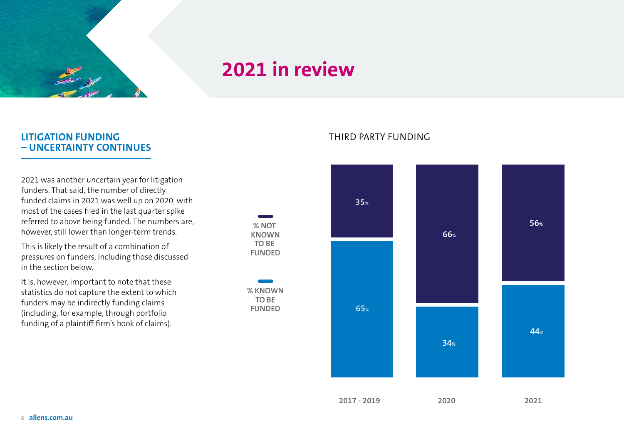

**% NOT KNOWN TO BE FUNDED**

**% KNOWN TO BE**

#### **LITIGATION FUNDING – UNCERTAINTY CONTINUES**

2021 was another uncertain year for litigation funders. That said, the number of directly funded claims in 2021 was well up on 2020, with most of the cases filed in the last quarter spike referred to above being funded. The numbers are, however, still lower than longer-term trends.

This is likely the result of a combination of pressures on funders, including those discussed in the section below.

It is, however, important to note that these statistics do not capture the extent to which funders may be indirectly funding claims (including, for example, through portfolio funding of a plaintiff firm's book of claims).

#### THIRD PARTY FUNDING

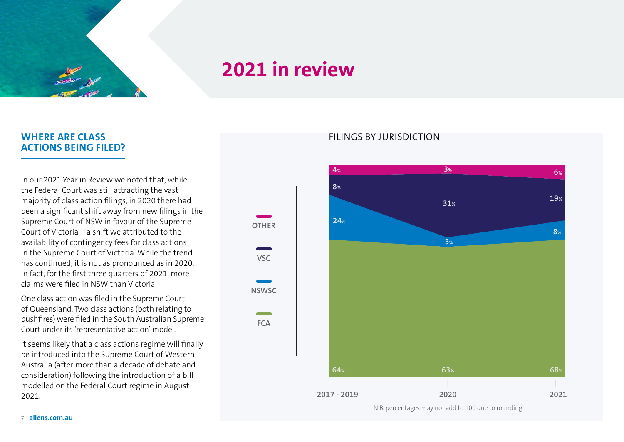

**OTHER**

**VSC**

**NSWSC**

**FCA**

--

#### **WHERE ARE CLASS ACTIONS BEING FILED?**

In our [2021 Year in Review](https://www.allens.com.au/globalassets/pdfs/campaigns/allens_report_class-action_risk_2021.pdf) we noted that, while the Federal Court was still attracting the vast majority of class action filings, in 2020 there had been a significant shift away from new filings in the Supreme Court of NSW in favour of the Supreme Court of Victoria – a shift we attributed to the availability of contingency fees for class actions in the Supreme Court of Victoria. While the trend has continued, it is not as pronounced as in 2020. In fact, for the first three quarters of 2021, more claims were filed in NSW than Victoria.

One class action was filed in the Supreme Court of Queensland. Two class actions (both relating to bushfires) were filed in the South Australian Supreme Court under its 'representative action' model.

It seems likely that a class actions regime will finally be introduced into the Supreme Court of Western Australia (after more than a decade of debate and consideration) following the introduction of a bill modelled on the Federal Court regime in August 2021.

#### FILINGS BY JURISDICTION

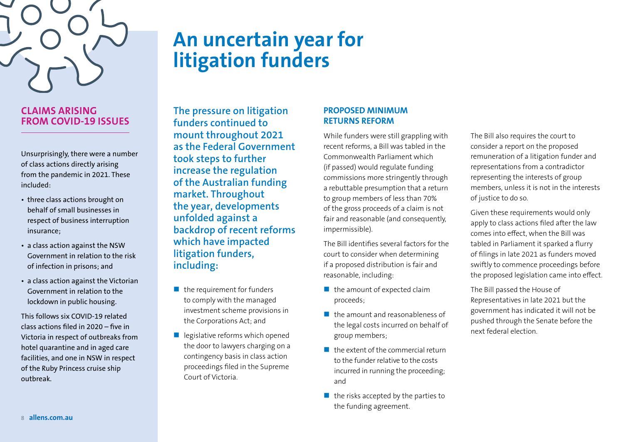

#### **CLAIMS ARISING FROM COVID-19 ISSUES**

Unsurprisingly, there were a number of class actions directly arising from the pandemic in 2021. These included:

- three class actions brought on behalf of small businesses in respect of business interruption insurance;
- a class action against the NSW Government in relation to the risk of infection in prisons; and
- a class action against the Victorian Government in relation to the lockdown in public housing.

This follows six COVID-19 related class actions filed in 2020 – five in Victoria in respect of outbreaks from hotel quarantine and in aged care facilities, and one in NSW in respect of the Ruby Princess cruise ship outbreak.

# **An uncertain year for litigation funders**

**The pressure on litigation funders continued to mount throughout 2021 as the Federal Government took steps to further increase the regulation of the Australian funding market. Throughout the year, developments unfolded against a backdrop of recent reforms which have impacted litigation funders, including:**

- $\blacksquare$  the requirement for funders to comply with the managed investment scheme provisions in the Corporations Act; and
- $\blacksquare$  legislative reforms which opened the door to lawyers charging on a contingency basis in class action proceedings filed in the Supreme Court of Victoria.

#### **PROPOSED MINIMUM RETURNS REFORM**

While funders were still grappling with recent reforms, a Bill was tabled in the Commonwealth Parliament which (if passed) would regulate funding commissions more stringently through a rebuttable presumption that a return to group members of less than 70% of the gross proceeds of a claim is not fair and reasonable (and consequently, impermissible).

The Bill identifies several factors for the court to consider when determining if a proposed distribution is fair and reasonable, including:

- $\blacksquare$  the amount of expected claim proceeds;
- **the amount and reasonableness of** the legal costs incurred on behalf of group members;
- $\blacksquare$  the extent of the commercial return to the funder relative to the costs incurred in running the proceeding; and
- $\blacksquare$  the risks accepted by the parties to the funding agreement.

The Bill also requires the court to consider a report on the proposed remuneration of a litigation funder and representations from a contradictor representing the interests of group members, unless it is not in the interests of justice to do so.

Given these requirements would only apply to class actions filed after the law comes into effect, when the Bill was tabled in Parliament it sparked a flurry of filings in late 2021 as funders moved swiftly to commence proceedings before the proposed legislation came into effect.

The Bill passed the House of Representatives in late 2021 but the government has indicated it will not be pushed through the Senate before the next federal election.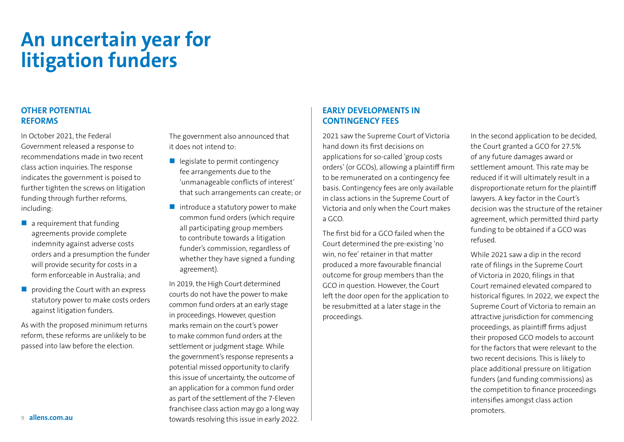# **An uncertain year for litigation funders**

#### **OTHER POTENTIAL REFORMS**

In October 2021, the Federal Government released a response to recommendations made in two recent class action inquiries.The response indicates the government is poised to further tighten the screws on litigation funding through further reforms, including:

- $\blacksquare$  a requirement that funding agreements provide complete indemnity against adverse costs orders and a presumption the funder will provide security for costs in a form enforceable in Australia; and
- $\blacksquare$  providing the Court with an express statutory power to make costs orders against litigation funders.

As with the proposed minimum returns reform, these reforms are unlikely to be passed into law before the election.

The government also announced that it does not intend to:

- $\blacksquare$  legislate to permit contingency fee arrangements due to the 'unmanageable conflicts of interest' that such arrangements can create; or
- $\blacksquare$  introduce a statutory power to make common fund orders (which require all participating group members to contribute towards a litigation funder's commission, regardless of whether they have signed a funding agreement).

In 2019, the High Court determined courts do not have the power to make common fund orders at an early stage in proceedings. However, question marks remain on the court's power to make common fund orders at the settlement or judgment stage. While the government's response represents a potential missed opportunity to clarify this issue of uncertainty, the outcome of an application for a common fund order as part of the settlement of the 7-Eleven franchisee class action may go a long way towards resolving this issue in early 2022.

#### **EARLY DEVELOPMENTS IN CONTINGENCY FEES**

2021 saw the Supreme Court of Victoria hand down its first decisions on applications for so-called 'group costs orders' (or GCOs), allowing a plaintiff firm to be remunerated on a contingency fee basis. Contingency fees are only available in class actions in the Supreme Court of Victoria and only when the Court makes a GCO.

The first bid for a GCO failed when the Court determined the pre-existing 'no win, no fee' retainer in that matter produced a more favourable financial outcome for group members than the GCO in question. However, the Court left the door open for the application to be resubmitted at a later stage in the proceedings.

In the second application to be decided, the Court granted a GCO for 27.5% of any future damages award or settlement amount. This rate may be reduced if it will ultimately result in a disproportionate return for the plaintiff lawyers. A key factor in the Court's decision was the structure of the retainer agreement, which permitted third party funding to be obtained if a GCO was refused.

While 2021 saw a dip in the record rate of filings in the Supreme Court of Victoria in 2020, filings in that Court remained elevated compared to historical figures. In 2022, we expect the Supreme Court of Victoria to remain an attractive jurisdiction for commencing proceedings, as plaintiff firms adjust their proposed GCO models to account for the factors that were relevant to the two recent decisions. This is likely to place additional pressure on litigation funders (and funding commissions) as the competition to finance proceedings intensifies amongst class action promoters.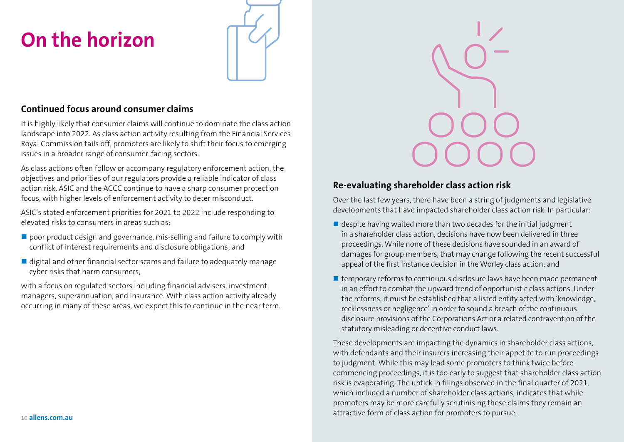# **On the horizon**



#### **Continued focus around consumer claims**

It is highly likely that consumer claims will continue to dominate the class action landscape into 2022. As class action activity resulting from the Financial Services Royal Commission tails off, promoters are likely to shift their focus to emerging issues in a broader range of consumer-facing sectors.

As class actions often follow or accompany regulatory enforcement action, the objectives and priorities of our regulators provide a reliable indicator of class action risk. ASIC and the ACCC continue to have a sharp consumer protection focus, with higher levels of enforcement activity to deter misconduct.

ASIC's stated enforcement priorities for 2021 to 2022 include responding to elevated risks to consumers in areas such as:

- poor product design and governance, mis-selling and failure to comply with conflict of interest requirements and disclosure obligations; and
- digital and other financial sector scams and failure to adequately manage cyber risks that harm consumers,

with a focus on regulated sectors including financial advisers, investment managers, superannuation, and insurance. With class action activity already occurring in many of these areas, we expect this to continue in the near term.



#### **Re-evaluating shareholder class action risk**

Over the last few years, there have been a string of judgments and legislative developments that have impacted shareholder class action risk. In particular:

- $\blacksquare$  despite having waited more than two decades for the initial judgment in a shareholder class action, decisions have now been delivered in three proceedings. While none of these decisions have sounded in an award of damages for group members, that may change following the recent successful appeal of the first instance decision in the Worley class action; and
- $\blacksquare$  temporary reforms to continuous disclosure laws have been made permanent in an effort to combat the upward trend of opportunistic class actions. Under the reforms, it must be established that a listed entity acted with 'knowledge, recklessness or negligence' in order to sound a breach of the continuous disclosure provisions of the Corporations Act or a related contravention of the statutory misleading or deceptive conduct laws.

These developments are impacting the dynamics in shareholder class actions, with defendants and their insurers increasing their appetite to run proceedings to judgment. While this may lead some promoters to think twice before commencing proceedings, it is too early to suggest that shareholder class action risk is evaporating. The uptick in filings observed in the final quarter of 2021, which included a number of shareholder class actions, indicates that while promoters may be more carefully scrutinising these claims they remain an attractive form of class action for promoters to pursue.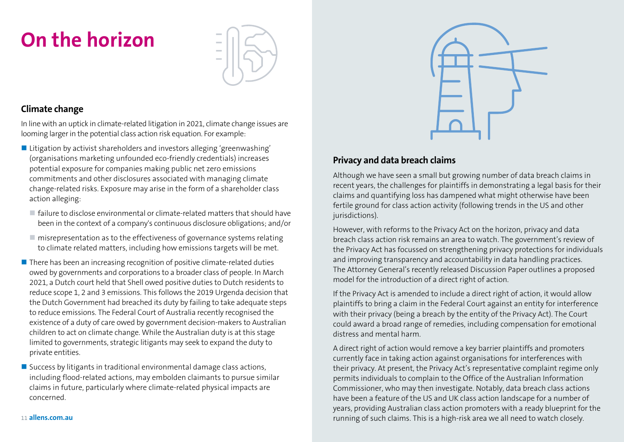# **On the horizon**



### **Climate change**

In line with an uptick in climate-related litigation in 2021, climate change issues are looming larger in the potential class action risk equation. For example:

- Litigation by activist shareholders and investors alleging 'greenwashing' (organisations marketing unfounded eco-friendly credentials) increases potential exposure for companies making public net zero emissions commitments and other disclosures associated with managing climate change-related risks. Exposure may arise in the form of a shareholder class action alleging:
	- $\blacksquare$  failure to disclose environmental or climate-related matters that should have been in the context of a company's continuous disclosure obligations; and/or
	- misrepresentation as to the effectiveness of governance systems relating to climate related matters, including how emissions targets will be met.
- $\blacksquare$  There has been an increasing recognition of positive climate-related duties owed by governments and corporations to a broader class of people. In March 2021, a Dutch court held that Shell owed positive duties to Dutch residents to reduce scope 1, 2 and 3 emissions. This follows the 2019 Urgenda decision that the Dutch Government had breached its duty by failing to take adequate steps to reduce emissions. The Federal Court of Australia recently recognised the existence of a duty of care owed by government decision-makers to Australian children to act on climate change. While the Australian duty is at this stage limited to governments, strategic litigants may seek to expand the duty to private entities.
- Success by litigants in traditional environmental damage class actions, including flood-related actions, may embolden claimants to pursue similar claims in future, particularly where climate-related physical impacts are concerned.



### **Privacy and data breach claims**

Although we have seen a small but growing number of data breach claims in recent years, the challenges for plaintiffs in demonstrating a legal basis for their claims and quantifying loss has dampened what might otherwise have been fertile ground for class action activity (following trends in the US and other jurisdictions).

However, with reforms to the Privacy Act on the horizon, privacy and data breach class action risk remains an area to watch. The government's review of the Privacy Act has focussed on strengthening privacy protections for individuals and improving transparency and accountability in data handling practices. The Attorney General's recently released Discussion Paper outlines a proposed model for the introduction of a direct right of action.

If the Privacy Act is amended to include a direct right of action, it would allow plaintiffs to bring a claim in the Federal Court against an entity for interference with their privacy (being a breach by the entity of the Privacy Act). The Court could award a broad range of remedies, including compensation for emotional distress and mental harm.

A direct right of action would remove a key barrier plaintiffs and promoters currently face in taking action against organisations for interferences with their privacy. At present, the Privacy Act's representative complaint regime only permits individuals to complain to the Office of the Australian Information Commissioner, who may then investigate. Notably, data breach class actions have been a feature of the US and UK class action landscape for a number of years, providing Australian class action promoters with a ready blueprint for the running of such claims. This is a high-risk area we all need to watch closely.